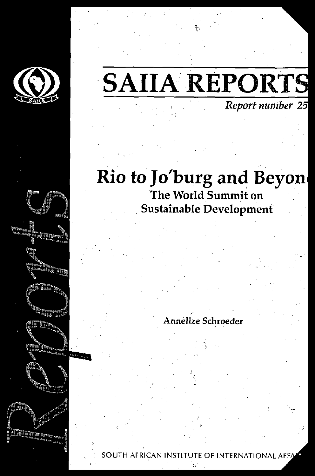

## **SAIIA REPORTS** *Report number 25*

### Rio to Jo'burg and Beyon The World Summit on Sustainable Development

#### Annelize Schroeder

SOUTH AFRICAN INSTITUTE OF INTERNATIONAL AFFA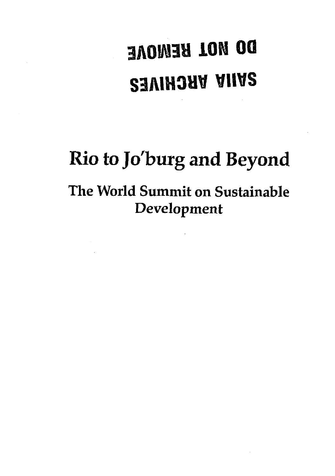# **DO MOL BEMONE S3AIH3HV VUVS**

## **Rio to Jo'burg and Beyond**

The World Summit on Sustainable Development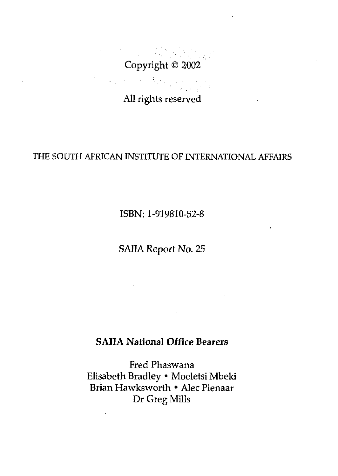Copyright © 2002 

All rights reserved

#### THE SOUTH AFRICAN INSTITUTE OF INTERNATIONAL AFFAIRS

ISBN: 1-919810-52-8

SAIIA Report No. 25

#### **SAIIA National Office Bearers**

Fred Phaswana Elisabeth Bradley • Moeletsi Mbeki Brian Hawksworth • Alec Pienaar Dr Greg Mills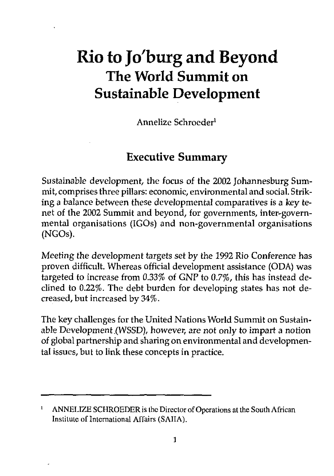## Rio to Jo'burg and Beyond The World Summit on Sustainable Development

Annelize Schroeder<sup>1</sup>

#### Executive Summary

Sustainable development, the focus of the 2002 Johannesburg Summit, comprises three pillars: economic, environmental and social. Striking a balance between these developmental comparatives is a key tenet of the 2002 Summit and beyond, for governments, inter-governmental organisations (IGOs) and non-governmental organisations (NGOs).

*Meeting* the development targets set by the 1992 Rio Conference has proven difficult. Whereas official development assistance (ODA) was targeted to increase from 0.33% of GNP to *0.7%,* this has instead declined to 0.22%. The debt burden for developing states has not decreased, but increased by 34%.

The key challenges for the United Nations World Summit on Sustainable Development .(WSSD), however, are not only *to* impart a notion of global partnership and sharing on environmental and developmental issues, but to link these concepts in practice.

ı ANNELIZE SCHROEDER is the Director of Operations at the South African Institute of International Affairs (SAIIA).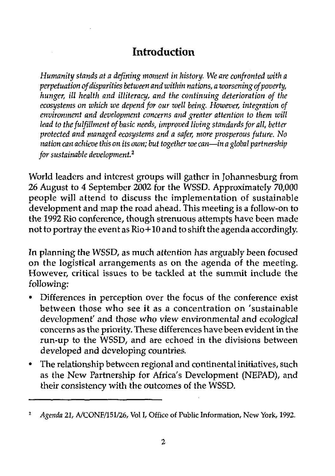#### Introduction

*Humanity stands at a defining moment in history. We are confronted with a perpetuation of disparities between and within nations, a worsening of poverty, hunger, ill health and illiteracy, and the continuing deterioration of the ecosystems on which we depend for our well being. However, integration of environment and development concerns and greater attention to them will lead to the fulfillment of basic needs, improved living standards for all, better protected and managed ecosystems and a safer, more prosperous future. No nation can achieve this on its own; but together we can*—*in a global partnership for sustainable development.<sup>2</sup>*

World leaders and interest groups will gather in Johannesburg from 26 August to 4 September 2002 for the WSSD. Approximately 70,000 people will attend to discuss the implementation of sustainable development and map the road ahead. This meeting is a follow-on to the 1992 Rio conference, though strenuous attempts have been made not to portray the event as Rio+10 and to shift the agenda accordingly.

In planning the WSSD, as much attention has arguably been focused on the logistical arrangements as on the agenda of the meeting. However, critical issues to be tackled at the summit include the following:

- Differences in perception over the focus of the conference exist between those who see it as a concentration on 'sustainable development' and those who view environmental and ecological concerns as the priority. These differences have been evident in the run-up to the WSSD, and are echoed in the divisions between developed and developing countries.
- The relationship between regional and continental initiatives, such as the New Partnership for Africa's Development (NEPAD), and their consistency with the outcomes of the WSSD.

 $\mathbf{z}$ *Agenda 21,* A/CONF/151/26, Vol I, Office of Public Information, New York, 1992.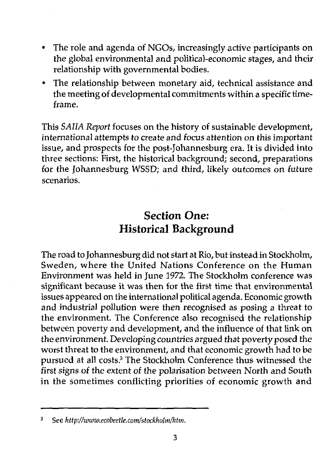- The role and agenda of NGOs, increasingly active participants on the global environmental and political-economic stages, and their relationship with governmental bodies.
- The relationship between monetary aid, technical assistance and the meeting of developmental commitments within a specific timeframe.

This *SAHA Report* focuses on the history of sustainable development, international attempts to create and focus attention *on* this important issue, and prospects for the post-Johannesburg era. It is divided into three sections: First, the historical background; second, preparations for the Johannesburg WSSD; and third, likely outcomes on future scenarios.

#### Section One: Historical Background

The road to Johannesburg did not start at Rio, but instead in Stockholm, Sweden, where the United Nations Conference on the Human Environment was held in June 1972. The Stockholm conference was significant because it was then for the first time that environmental issues appeared on the international political agenda. Economic growth and industrial pollution were then recognised as posing a threat to the environment. The Conference also recognised the relationship between poverty and development, and the influence of that link on the environment. Developing countries argued that poverty posed the worst threat to the environment, and that economic growth had to be pursued at all costs.<sup>3</sup> The Stockholm Conference thus witnessed the first signs of the extent of the polarisation between North and South in the sometimes conflicting priorities of economic growth and

See *http://www.ecobeetie.com/stockhotm/htm.*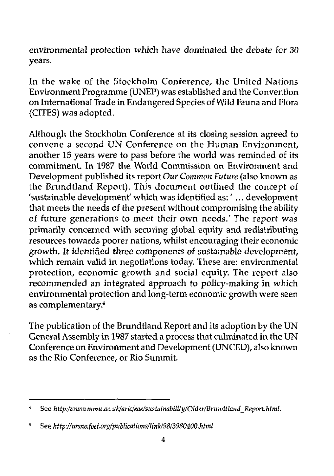environmental protection which have dominated the debate for 30 years.

In the wake of the Stockholm Conference, the United Nations Environment Programme (UNEP) was established and the Convention on International Trade in Endangered Species of Wild Fauna and Flora (CITES) was adopted.

Although the Stockholm Conference at its closing session agreed to convene a second UN Conference on the Human Environment, another 15 years were to pass before the world was reminded of its commitment. In 1987 the World Commission on Environment and Development published its report *Our Common Future* (also known as the Brundtland Report). This document outlined the concept of 'sustainable development' which was identified as:' ... development that meets the needs of the present without compromising the ability of future generations to meet their own needs.' The report was primarily concerned with securing global equity and redistributing resources towards poorer nations, whilst encouraging their economic growth. It identified three components of sustainable development, which remain valid in negotiations today. These are: environmental protection, economic growth and social equity. The report also recommended an integrated approach to policy-making in which environmental protection and long-term economic growth were seen as complementary.<sup>4</sup>

The publication of the Brundtland Report and its adoption by the UN General Assembly in 1987 started a process that culminated in the UN Conference on Environment and Development (UNCED), also known as the Rio Conference, or Rio Summit.

<sup>4</sup> See *http:/www,mmu.ac.uk/aric/eae/sustainability/Older/Brundtland\_Report.html.*

<sup>5</sup> See http://www.foei.org/publications/link/98/3980400.html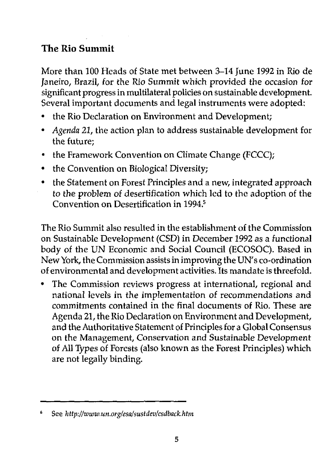#### **The Rio Summit**

More than 100 Heads of State met between 3-14 June 1992 in Rio de Janeiro, Brazil, for the Rio Summit which provided the occasion for significant progress in multilateral policies on sustainable development. Several important documents and legal instruments were adopted:

- the Rio Declaration on Environment and Development;
- • *Agenda* 22, the action plan to address sustainable development for the future;
- the Framework Convention on Climate Change (FCCC);
- the Convention on Biological Diversity;
- the Statement on Forest Principles and a new, integrated approach *to* the problem of desertification which led to the adoption of the Convention on Desertification in 1994.<sup>5</sup>

The Rio Summit also resulted in the establishment of the Commission on Sustainable Development (CSD) in December 1992 as a functional body of the UN Economic and Social Council (ECOSOC). Based in New York, the Commission assists in improving the UN's co-ordination of environmental and development activities. Its mandate is threefold.

The Commission reviews progress at international, regional and national levels in the implementation of recommendations and commitments contained in the final documents of Rio. These are Agenda 21, the Rio Declaration on Environment and Development, and the Authoritative Statement of Principles for a Global Consensus on the Management, Conservation and Sustainable Development of All Types of Forests (also known as the Forest Principles) which are not legally binding.

See *http://www.un.org/esa/sustdev/csdback.htm*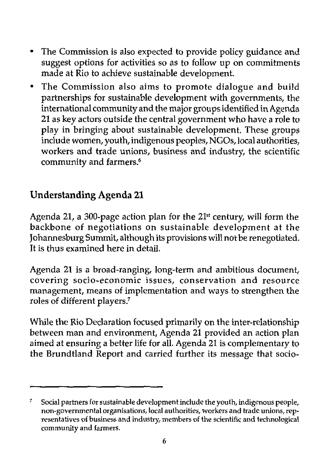- The Commission is also expected to provide policy guidance and suggest options for activities so as to follow up on commitments made at Rio to achieve sustainable development.
- The Commission also aims to promote dialogue and build  $\bullet$ partnerships for sustainable development with governments, the international community and the major groups identified in Agenda 21 as key actors outside the central government who have a role to play in bringing about sustainable development. These groups include women, youth, indigenous peoples, NGOs, local authorities, workers and trade unions, business and industry, the scientific community and farmers.<sup>6</sup>

#### Understanding Agenda 21

Agenda 21, a 300-page action plan for the 21<sup>st</sup> century, will form the backbone of negotiations on sustainable development at the Johannesburg Summit, although its provisions will not be renegotiated. It is thus examined here in detail.

Agenda 21 is a broad-ranging, long-term and ambitious document, covering socio-economic issues, conservation and resource management, means of implementation and ways to strengthen the roles of different players/

While the Rio Declaration focused primarily on the inter-relationship between man and environment, Agenda 21 provided an action plan aimed at ensuring a better life for all. Agenda 21 is complementary to the Brundtland Report and carried further its message that socio-

<sup>7</sup> Social partners for sustainable development include the youth, indigenous people, non-governmental organisations, local authorities, workers and trade unions, representatives of business and industry, members of the scientific and technological community and farmers.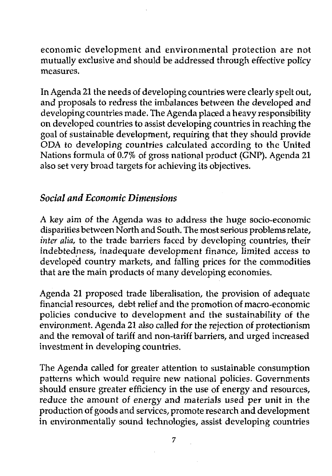economic development and environmental protection are not mutually exclusive and should be addressed through effective policy measures.

In Agenda 21 the needs of developing countries were clearly spelt out, and proposals to redress the imbalances between the developed and developing countries made. The Agenda placed a heavy responsibility on developed countries to assist developing countries in reaching the goal of sustainable development, requiring that they should provide ODA to developing countries calculated according to the United Nations formula of 0.7% of gross national product (GNP). Agenda 21 also set very broad targets for achieving its objectives.

#### *Social and Economic Dimensions*

*A key* aim of the Agenda was to address the huge socio-economic disparities between North and South. The most serious problems relate, *inter alia,* to the trade barriers faced by developing countries, their indebtedness, inadequate development finance, limited access to developed country markets, and falling prices for the commodities that are the main products of many developing economies.

Agenda 21 proposed trade liberalisation, the provision of adequate financial resources, debt relief and the promotion of macro-economic policies conducive to development and the sustainability of the environment. Agenda 21 also called for the rejection of protectionism and the removal of tariff and non-tariff barriers, and urged increased investment in developing countries.

The Agenda called for greater attention to sustainable consumption patterns which would require new national policies. Governments should ensure greater efficiency in the use of energy and resources, reduce the amount *of* energy and materials used per unit in the production of goods and services, promote research and development in environmentally sound technologies, assist developing countries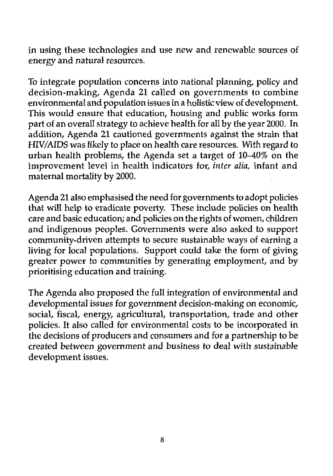in using these technologies and use new and renewable sources of energy and natural resources.

To integrate population concerns into national planning, policy and decision-making, Agenda 21 called on governments to combine environmental and population issues in a holistic view of development. This would ensure that education, housing and public works form part of an overall strategy to achieve health for all by the year 2000. In addition, Agenda 21 cautioned governments against the strain that HIV/AIDS was likely to place on health care resources. With regard to urban health problems, the Agenda set a target of 10-40% on the improvement level in health indicators for, *inter alia,* infant and maternal mortality by 2000.

Agenda 21 also emphasised the need for governments to adopt policies that will help to eradicate poverty. These include policies on health care and basic education; and policies on the rights of women, children and indigenous peoples. Governments were also asked to support community-driven attempts to secure sustainable ways of earning a living for local populations. Support could take the form of giving greater power to communities by generating employment, and by prioritising education and training.

The Agenda also proposed the full integration of environmental and developmental issues for government decision-making on economic, social, fiscal, energy, agricultural, transportation, trade and other policies. It also called for environmental costs to be incorporated in the decisions of producers and consumers and for a partnership to be created between government and business to deal with sustainable development issues.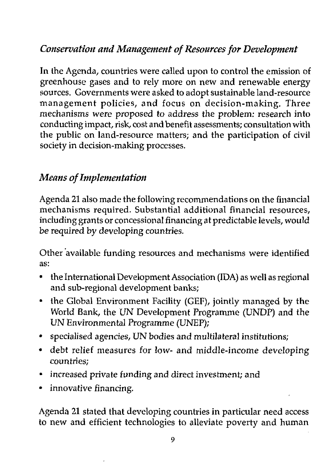#### *Conservation and Management of Resources for Development*

In the Agenda, countries were called upon to control the emission of greenhouse gases and to rely more on new and renewable energy sources. Governments were asked to adopt sustainable land-resource management policies, and focus on decision-making. Three mechanisms were *proposed to* address the problem: research into conducting impact, risk, cost and benefit assessments; consultation with the public on land-resource matters; and the participation of civil society in decision-making processes.

#### *Means of Implementation*

Agenda 21 also made the following recommendations on the financial mechanisms required. Substantial additional financial resources, including grants or concessional financing at predictable levels, would be required by developing countries.

Other available funding resources and mechanisms were identified as:

- the International Development Association (IDA) as well as regional and sub-regional development banks;
- the Global Environment Facility (GEF), jointly managed by the World Bank, the UN Development Programme (UNDP) and the UN Environmental Programme (UNEP);
- specialised agencies, UN bodies and multilateral institutions;
- debt relief measures for low- and middle-income developing countries;
- increased private funding and direct investment; and
- innovative financing.

Agenda 21 stated that developing countries in particular need access to new and efficient technologies to alleviate poverty and human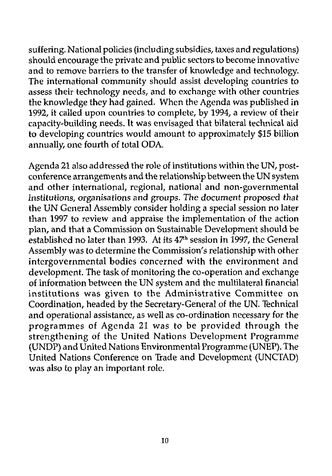suffering. National policies (including subsidies, taxes and regulations) should encourage the private and public sectors to become innovative and to remove barriers to the transfer of knowledge and technology. The international community should assist developing countries to assess their technology needs, and to exchange with other countries the knowledge they had gained. When the Agenda was published in 1992, it called upon countries to complete, by 1994, a review of their capacity-building needs. It was envisaged that bilateral technical aid to developing countries would amount to approximately \$15 billion annually, one fourth of total ODA.

Agenda 21 also addressed the role of institutions within the UN, postconference arrangements and the relationship between the UN system and other international, regional, national and non-governmental institutions, organisations and groups. The document proposed that the UN General Assembly consider holding a special session no later than 1997 to review and appraise the implementation of the action plan, and that a Commission on Sustainable Development should be established no later than 1993. At its  $47<sup>th</sup>$  session in 1997, the General Assembly was to determine the Commission's relationship with other intergovernmental bodies concerned with the environment and development. The task of monitoring the co-operation and exchange of information between the UN system and the multilateral financial institutions was given to the Administrative Committee on Coordination, headed by the Secretary-General of the UN. Technical and operational assistance, as well as co-ordination necessary for the programmes of Agenda 21 was to be provided through the strengthening of the United Nations Development Programme (UNDP) and United Nations Environmental Programme (UNEP). The United Nations Conference on Trade and Development (UNCTAD) was also to play an important role.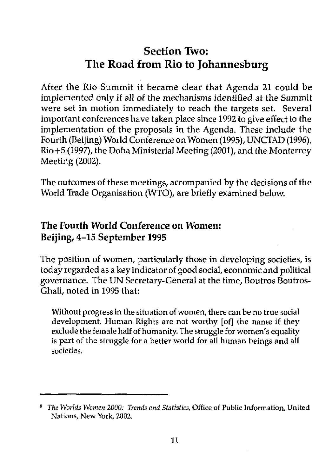#### Section Two: The Road from Rio to Johannesburg

After the Rio Summit it became clear that Agenda 21 could be implemented only *it* all *oi* the mechanisms identified *at* the Summit were set in motion immediately to reach the targets set. Several important conferences have taken place since 1992 to give effect to the implementation of the proposals in the Agenda. These include the Fourth (Beijing) World Conference on Women (1995), UNCTAD (1996), Rio+5 (1997), the Doha Ministerial Meeting (2001), and the Monterrey Meeting (2002).

The outcomes of these meetings, accompanied by the decisions of the World Trade Organisation (WTO), are briefly examined below.

#### The Fourth World Conference on Women: Beijing, 4-15 September 1995

The position of women, particularly those in developing societies, is today regarded as a key indicator of good social, economic and political governance. The UN Secretary-General at the time, Boutros Boutros-Ghali, noted in 1995 that:

Without progress in the situation of women, there can be no true social development. Human Rights are not worthy [of] the name if they exclude the female half of humanity. The struggle for women's equality is part of the struggle for a better world for all human beings and all societies.

*The Worlds Women 2000: Trends and Statistics,* Office of Public Information, United Nations, New York, 2002.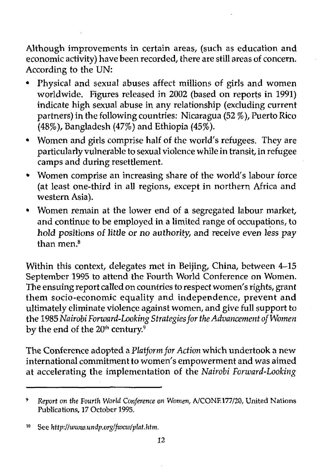Although improvements in certain areas, (such as education and economic activity) have been recorded, there are still areas of concern. According to the UN:

- Physical and sexual abuses affect millions of girls and women worldwide. Figures released in 2002 (based on reports in 1991) indicate high sexual abuse in any relationship (excluding current partners) in the following countries: Nicaragua (52 %), Puerto Rico (48%), Bangladesh (47%) and Ethiopia (45%).
- Women and girls comprise half of the world's refugees. They are particularly vulnerable to sexual violence while in transit, in refugee camps and during resettlement.
- Women comprise an increasing share of the world's labour force (at least one-third in all regions, except in northern Africa and western Asia).
- Women remain at the lower end of a segregated labour market, and continue to be employed in a limited range of occupations, to hold positions of little or no authority, and receive even less pay than men.<sup>8</sup>

Within this context, delegates met in Beijing, China, between 4-15 September 1995 to attend the Fourth World Conference on Women. The ensuing report called on countries to respect women's rights, grant them socio-economic equality and independence, prevent and ultimately eliminate violence against women, and give full support to the 1985 *Nairobi Forward-Looking Strategies for the Advancement of Women* by the end of the 20<sup>th</sup> century.<sup>9</sup>

The Conference adopted a *Platform for Action* which undertook a new international commitment to women's empowerment and was aimed at accelerating the implementation of the *Nairobi Forward-Looking*

<sup>9</sup> *Report* on *the Fourth World Conference on Women,* A/CONE177/20, United Nations Publications, 17 October 1995.

<sup>10</sup> See *http://www.undp.org/fwcw/plat.htm.*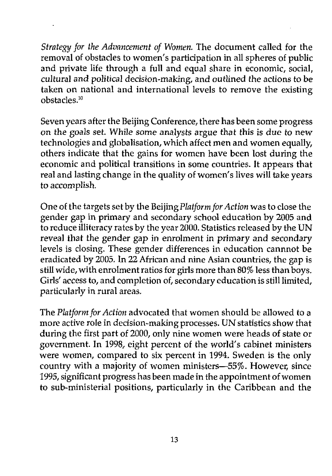*Strategy for the Advancement of Women.* The document called for the removal of obstacles to women's participation in all spheres of public and private life through a full and equal share in economic, social, cultural and *political* decision-making, and *outlined the* actions *to he* taken on national and international levels to remove the existing obstacles.<sup>10</sup>

Seven years after the Beijing Conference, there has been some progress *on the goals set* While some analysts argue that this is *due to new* technologies and globalisation, which affect men and women equally, others indicate that the gains for women have been lost during the economic and political transitions in some countries. It appears that real and lasting change in the quality of women's lives will take years *to* accomplish.

One of the targets set by the Beijing *Platform for Action* was to close the gender gap in primary and secondary school education by 2005 and to reduce illiteracy rates by the year 2000. Statistics released by the UN reveal that the gender gap in enrolment in primary and secondary levels is closing. These gender differences in education cannnot be eradicated by 2005. In 22 African and nine Asian countries, the gap is still wide, with enrolment ratios for girls more than 80% less than boys. Girls' access to, and completion of, secondary education is still limited, particularly in rural areas.

The *Platform for Action* advocated that women should be allowed to a more active role in decision-making processes. UN statistics show that during the first part of 2000, only nine women were heads of state or government. In 1998, eight percent of the world's cabinet ministers were women, compared to six percent in 1994. Sweden is the only country with a majority of women ministers—55%. However, since 1995, significant progress has been made in the appointment of women to sub-ministerial positions, particularly in the Caribbean and the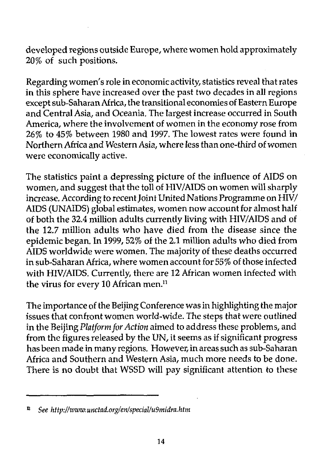developed regions outside Europe, where women hold approximately 20% of such positions.

Regarding women's role in economic activity, statistics reveal that rates in this sphere have increased over the past two decades in all regions except sub-Saharan Africa, the transitional economies of Eastern Europe and Central Asia, and Oceania, The largest increase occurred in South America, where the involvement of women in the economy rose from 26% to 45% between 1980 and 1997. The lowest rates were found in Northern Africa and Western Asia, where less than one-third of women were economically active.

The statistics paint a depressing picture of the influence of AIDS on women, and suggest that the toll of HIV/AIDS on women will sharply increase. According to recent Joint United Nations Programme on HIV/ AIDS (UNAIDS) global estimates, women now account for almost half of both the 32.4 million adults currently living with HIV/AIDS and of the 12.7 million adults who have died from the disease since the epidemic began. In 1999,52% of the 2.1 million adults who died from AIDS worldwide were women. The majority of these deaths occurred in sub-Saharan Africa, where women account for 55% of those infected with HIV/AIDS. Currently, there are 12 African women infected with the virus for every 10 African men.<sup>11</sup>

The importance of the Beijing Conference was in highlighting the major issues that confront women world-wide. The steps that were outlined in the Beijing *Platform for Action* aimed to address these problems, and from the figures released by the UN, it seems as if significant progress has been made in many regions. However, in areas such as sub-Saharan Africa and Southern and Western Asia, much more needs to be done. There is no doubt that WSSD will pay significant attention to these

*n See http://wzuw.unctad.org/en/special/u9midra.htm*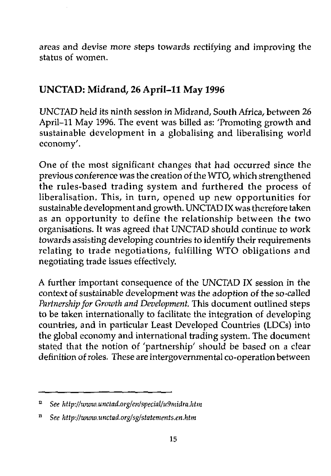areas and devise more steps towards rectifying and improving the status of women.

#### UNCTAD: Midrand, 26 April-ll May 1996

UNCTAD held its ninth session in Midrand, South Africa, between 26 April-ll May 1996. The event was billed as: 'Promoting growth and sustainable development in a globalising and liberalising world economy'.

One of the most significant changes that had occurred since the previous conference was the creation of the WTO, which strengthened the rules-based trading system and furthered the process of liberalisation. This, in turn, opened up new opportunities for sustainable development and growth. UNCTAD IX was therefore taken as an opportunity to define the relationship between the two organisations. It was agreed that UNCTAD should continue *to work* towards assisting developing countries to identify their requirements relating to trade negotiations, fulfilling WTO obligations and negotiating trade issues effectively.

A further important consequence of the UNCTAD IX session in the context of sustainable development was the adoption of the so-called *Partnership for Growth and Development* This document outlined steps to be taken internationally to facilitate the integration of developing countries, and in particular Least Developed Countries (LDCs) into the global economy and international trading system. The document stated that the notion of 'partnership' should be based on a clear definition of roles. These are intergovernmental co-operation between

*n See http://wzvw.unctad.org/en/special/u9midra.htm*

<sup>13</sup>  *See http://www.unctad.org/sg/statements.en.htm*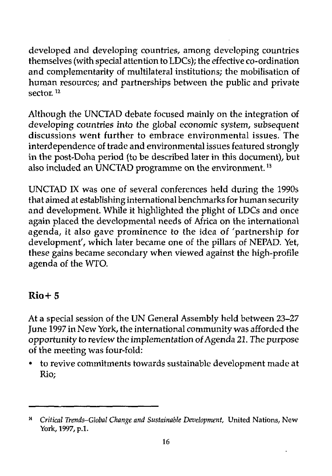developed and developing countries, among developing countries themselves (with special attention to LDCs); the effective co-ordination and complementarity of multilateral institutions; the mobilisation of human resources; and partnerships between the public and private sector.<sup>12</sup>

Although the UNCTAD debate focused mainly on the integration of developing countries into the global economic system, subsequent discussions went further to embrace environmental issues. The interdependence of trade and environmental issues featured strongly in the post-Doha period (to be described later in this document), but also included an UNCTAD programme on the environment.<sup>13</sup>

UNCTAD IX was one of several conferences held during the 1990s that aimed at establishing international benchmarks for human security and development. While it highlighted the plight of LDCs and once again placed the developmental needs of Africa on the international agenda, it also gave prominence to the idea of 'partnership for development', which later became one of the pillars of NEPAD. Yet, these gains became secondary when viewed against the high-profile agenda of the WTO.

#### Rio+5

At a special session of the UN General Assembly held between 23-27 June 1997 in New York, the international community was afforded the opportunity to review the implementation of Agenda 21. The purpose of the meeting was four-fold:

• to revive commitments towards sustainable development made at Rio;

*Critical Trends-Global Change and Sustainable Development,* United Nations, New 14 York, 1997, p.l.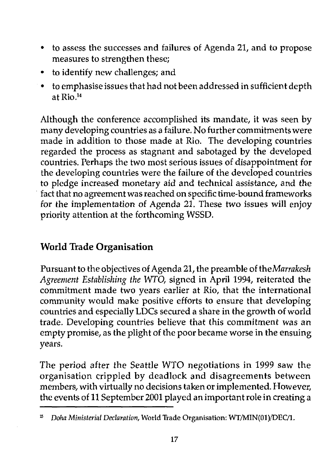- to assess the successes and failures of Agenda 21, and to propose measures to strengthen these;
- to identify new challenges; and
- to emphasise issues that had not been addressed in sufficient depth at Rio.<sup>14</sup>

Although the conference accomplished its mandate, it was seen by many developing countries as a failure. No further commitments were made in addition to those made at Rio. The developing countries regarded the process as stagnant and sabotaged by the developed countries. Perhaps the two most serious issues of disappointment for the developing countries were the failure of the developed countries to pledge increased monetary aid and technical assistance, and the fact that no agreement was reached on specific time-bound frameworks for the implementation of Agenda 21. These two issues will enjoy priority attention at the forthcoming WSSD.

#### **World Trade Organisation**

Pursuant to the objectives of Agenda 21, the preamble of *theMarrakesh Agreement Establishing the WTO,* signed in April 1994, reiterated the commitment made two years earlier at Rio, that the international community would make positive efforts to ensure that developing countries and especially LDCs secured a share in the growth of world trade. Developing countries believe that this commitment *was* an empty promise, as the plight of the poor became worse in the ensuing years.

The period after the Seattle WTO negotiations in 1999 saw the organisation crippled by deadlock and disagreements between members, with virtually no decisions taken or implemented. However, the events of 11 September 2001 played an important role in creating a

<sup>15</sup>  *Doha Ministerial Declaration,* World Trade Organisation: WT/MIN(01)/DEC/l.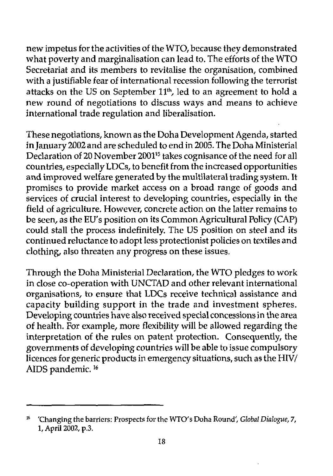new impetus for the activities of the WTO, because they demonstrated what poverty and marginalisation can lead to. The efforts of the WTO Secretariat and its members to revitalise the organisation, combined with a justifiable fear of international recession following the terrorist attacks on the US on September 11<sup>th</sup>, led to an agreement to hold a new round of negotiations to discuss ways and means to achieve international trade regulation and liberalisation.

These negotiations, known as the Doha Development Agenda, started in January 2002 and are scheduled to end in 2005. The Doha Ministerial Declaration of 20 November 2001<sup>15</sup> takes cognisance of the need for all countries, especially LDCs, to benefit from the increased opportunities and improved welfare generated by the multilateral trading system. It promises to provide market access on a broad range of goods and services of crucial interest to developing countries, especially in the field of agriculture. However, concrete action on the latter remains to be seen, as the EU's position on its Common Agricultural Policy (CAP) could stall the process indefinitely. The US position on steel and its continued reluctance to adopt less protectionist policies on textiles and clothing, also threaten any progress on these issues.

Through the Doha Ministerial Declaration, the WTO pledges to work in close co-operation with UNCTAD and other relevant international organisations, to ensure that LDCs receive technical assistance and capacity building support in the trade and investment spheres. Developing countries have also received special concessions in the area of health. For example, more flexibility will be allowed regarding the interpretation of the rules on patent protection. Consequently, the governments of developing countries will be able to issue compulsory licences for generic products in emergency situations, such as the HIV/ AIDS pandemic.<sup>16</sup>

 $16\,$ 'Changing the barriers: Prospects for the WTO's Doha Round', *Global Dialogue, 7,* 1, April 2002, p.3.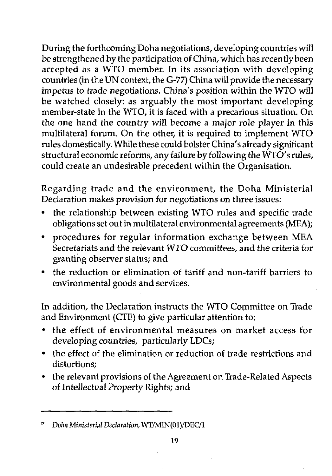During the forthcoming Doha negotiations, developing countries will be strengthened by the participation of China, which has recently been accepted as a WTO member. In its association with developing countries (in the UN context, the G-77) China will provide the necessary impetus *to* trade negotiations. China's position within the WTO will be watched closely: as arguably the most important developing member-state in the WTO, it is faced with a precarious situation. On the one hand the country will become a major role player in this multilateral forum. On the other, it is required to implement WTO rules domestically. While these could bolster China's already significant structural economic reforms, any failure by following the WTO's rules, could create an undesirable precedent within the Organisation.

Regarding trade and the environment, the Doha Ministerial Declaration makes provision for negotiations on three issues;

- the relationship between existing WTO rules and specific trade obligations set out in multilateral environmental agreements (MEA);
- procedures for regular information exchange between MEA Secretariats and the relevant WTO committees, and the criteria for granting observer status; and
- the reduction or elimination of tariff and non-tariff barriers to environmental goods and services.

In addition, the Declaration instructs the WTO Committee on Trade and Environment (CTE) to give particular attention to:

- the effect of environmental measures on market access for developing countries, particularly LDCs;
- the effect of the elimination or reduction of trade restrictions and distortions;
- the relevant provisions of the Agreement on Trade-Related Aspects of Intellectual Property Rights; and

*v Doha Ministerial Declaration,* WT/MIN(01)/DEC/l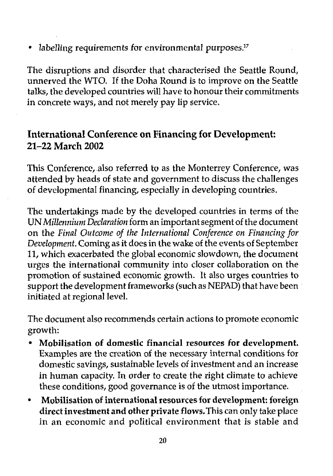• labelling requirements for environmental purposes.<sup>17</sup>

The disruptions and disorder that characterised the Seattle Round, unnerved the WTO. If the Doha Round is to improve on the Seattle talks, the developed countries will have to honour their commitments in concrete ways, and not merely pay lip service.

#### International Conference on Financing for Development: **21-22 March 2002**

This Conference, also referred to as the Monterrey Conference, was attended by heads of state and government to discuss the challenges of developmental financing, especially in developing countries.

The undertakings made by the developed countries in terms of the UN *Millennium Declaration* form an important segment of the document on the *Final Outcome of the International Conference on Financing for Development.* Coming as it does in the wake of the events of September 11, which exacerbated the global economic slowdown, the document urges the international community into closer collaboration on the promotion of sustained economic growth. It also urges countries to support the development frameworks (such as NEPAD) that have been initiated at regional level.

The document also recommends certain actions to promote economic growth:

- • **Mobilisation of domestic financial resources for development.** Examples are the creation of the necessary internal conditions for domestic savings, sustainable levels of investment and an increase in human capacity. In order to create the right climate to achieve these conditions, good governance is of the utmost importance.
- • **Mobilisation of international resources for development: foreign direct investment and other private flows.** This can only take place in an economic and political environment that is stable and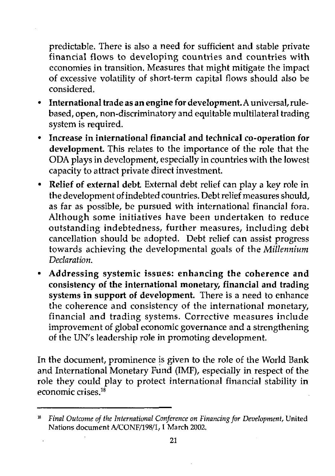predictable. There is also a need for sufficient and stable private financial flows to developing countries and countries with economies in transition. Measures that might mitigate the impact of excessive volatility of short-term capital flows should also be considered.

- • **International trade as an engine for development.** A universal, rulebased, open, non-discriminatory and equitable multilateral trading system is required.
- • **Increase in international financial and technical co-operation for development.** This relates to the importance of the role that the ODA plays in development, especially in countries with the lowest capacity to attract private direct investment.
- • **Relief of external debt** External debt relief can play a key role in the development of indebted countries. Debt relief measures should, as far as possible, be pursued with international financial fora. Although some initiatives have been undertaken to reduce outstanding indebtedness, further measures, including debt cancellation should be adopted. Debt relief can assist progress towards achieving the developmental goals of the *Millennium Declaration.*
- • **Addressing systemic issues: enhancing the coherence and consistency of the international monetary, financial and trading systems in support of development.** There is a need to enhance the coherence and consistency of the international monetary, financial and trading systems. Corrective measures include improvement of global economic governance and a strengthening of the UN's leadership role in promoting development.

In the document, prominence is given to the role of the World Bank and International Monetary Fund (IMF), especially in respect of the role they could play to protect international financial stability in economic crises. $18$ 

*Final Outcome of the International Conference on Financing for Development,* United Nations document A/CONF/198/1,1 March 2002.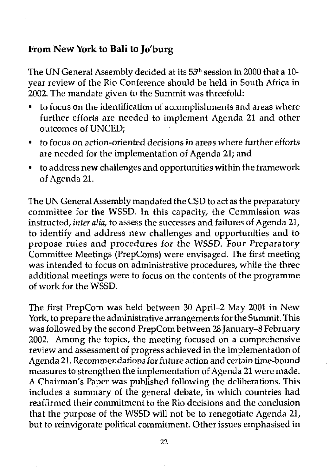#### From New York to Bali to Jo'burg

The UN General Assembly decided at its 55<sup>th</sup> session in 2000 that a 10year review of the Rio Conference should be held in South Africa in 2002. The mandate given to the Summit was threefold:

- to focus on the identification of accomplishments and areas where further efforts are needed to implement Agenda 21 and other outcomes of UNCED;
- to focus on action-oriented decisions in areas where further efforts are needed for the implementation of Agenda 21; and
- to address new challenges and opportunities within the framework of Agenda 21.

The UN General Assembly mandated the CSD to act as the preparatory committee for the WSSD. In this capacity, the Commission was instructed, *inter alia,* to assess the successes and failures of Agenda 21, to identify and address new challenges and opportunities and to propose rules and procedures for the WSSD. Four Preparatory Committee Meetings (PrepComs) were envisaged. The first meeting was intended to focus on administrative procedures, while the three additional meetings were to focus on the contents of the programme of work for the WSSD.

The first PrepCom was held between 30 April-2 May 2001 in New York, to prepare the administrative arrangements for the Summit. This was followed by the second PrepCom between 28 January-8 February 2002. Among the topics, the meeting focused on a comprehensive review and assessment of progress achieved in the implementation of Agenda 21. Recommendations for future *action* and certain time-bound measures to strengthen the implementation of Agenda 21 were made. A Chairman's Paper was published following the deliberations. This includes a summary of the general debate, in which countries had reaffirmed their commitment to the Rio decisions and the conclusion that the purpose of the WSSD will not be to renegotiate Agenda 21, but to reinvigorate political commitment. Other issues emphasised in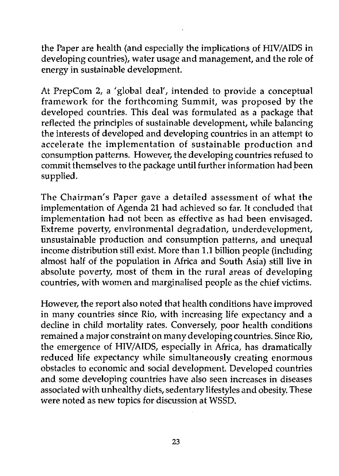the Paper are health (and especially the implications of HIV/AIDS in developing countries), water usage and management, and the role of energy in sustainable development.

At PrepCom 2, a 'global deal', intended to provide a conceptual framework for the forthcoming Summit, was proposed by the developed countries. This deal was formulated as a package that reflected the principles of sustainable development, while balancing the interests of developed and developing countries in an attempt to accelerate the implementation of sustainable production and consumption patterns. However, the developing countries refused to commit themselves to the package until further information had been supplied.

The Chairman's Paper gave a detailed assessment of what the implementation of Agenda 21 had achieved so far. It concluded that implementation had not been as effective as had been envisaged. Extreme poverty, environmental degradation, underdevelopment, unsustainable production and consumption patterns, and unequal income distribution still exist. More than 1.1 billion people (including almost half of the population in Africa and South Asia) still live in absolute poverty, most of them in the rural areas of developing countries, with women and marginalised people as the chief victims.

However, the report also noted that health conditions have improved in many countries since Rio, with increasing life expectancy and a decline in child mortality rates. Conversely, poor health conditions remained a major constraint on many developing countries. Since Rio, the emergence of HIV/AIDS, especially in Africa, has dramatically reduced life expectancy while simultaneously creating enormous obstacles to economic and social development. Developed countries and some developing countries have also seen increases in diseases associated with unhealthy diets, sedentary lifestyles and obesity. These were noted as new topics for discussion at WSSD.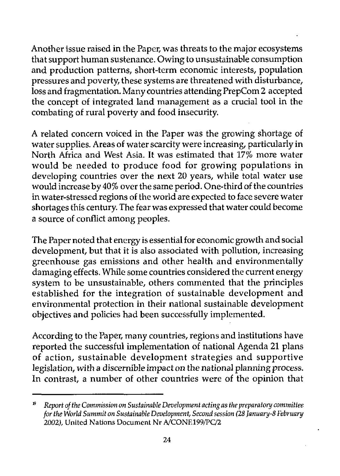Another issue raised in the Paper, was threats to the major ecosystems that support human sustenance. Owing to unsustainable consumption and production patterns, short-term economic interests, population pressures and poverty, these systems are threatened with disturbance, loss and fragmentation. Many countries attending PrepCom 2 accepted the concept of integrated land management as a crucial tool in the combating of rural poverty and food insecurity.

A related concern voiced in the Paper was the growing shortage of water supplies. Areas of water scarcity were increasing, particularly in North Africa and West Asia. It was estimated that 17% more water would be needed to produce food for growing populations in developing countries over the next 20 years, while total water use would increase by 40% over the same period. One-third of the countries in water-stressed regions of the world are expected to face severe water shortages this century. The fear was expressed that water could become a source of conflict among peoples.

The Paper noted that energy is essential for economic growth and social development, but that it is also associated with pollution, increasing greenhouse gas emissions and other health and environmentally damaging effects. While some countries considered the current energy system to be unsustainable, others commented that the principles established for the integration of sustainable development and environmental protection in their national sustainable development objectives and policies had been successfully implemented.

According to the Paper, many countries, regions and institutions have reported the successful implementation of national Agenda 21 plans of action, sustainable development strategies and supportive legislation, with a discernible impact on the national planning process. In contrast, a number of other countries were of the opinion that

Ď *Report of the Commission on Sustainable Development acting as the preparatory committee for the World Summit on Sustainable Development, Second session (28 January-8 February 2002),* United Nations Document Nr A/CONE 199/PC/2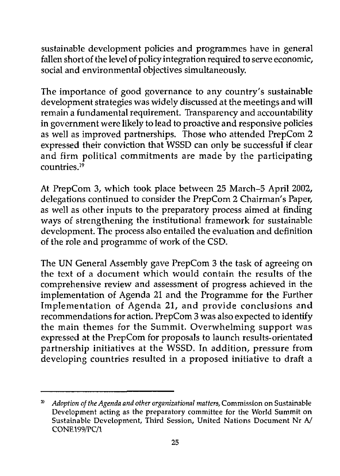sustainable development policies and programmes have in general fallen short of the level of policy integration required to serve economic, social and environmental objectives simultaneously.

The importance of good governance to any country's sustainable development strategies was widely discussed at the meetings and will remain a fundamental requirement. Transparency and accountability in government were likely to lead to proactive and responsive policies as well as improved partnerships. Those who attended PrepCom 2 expressed their conviction that WSSD can only be successful if clear and firm political commitments are made by the participating countries<sup>19</sup>

At PrepCom 3, which took place between 25 March-5 April 2002, delegations continued to consider the PrepCom 2 Chairman's Paper, as well as other inputs to the preparatory process aimed at finding ways of strengthening the institutional framework for sustainable development. The process also entailed the evaluation and definition of the role and programme of work of the CSD.

The UN General Assembly gave PrepCom 3 the task of agreeing on the text of a document which would contain the results of the comprehensive review and assessment of progress achieved in the implementation of Agenda 21 and the Programme for the Further Implementation of Agenda 21, and provide conclusions and recommendations for action. PrepCom 3 was also expected to identify the main themes for the Summit. Overwhelming support was expressed at the PrepCom for proposals to launch results-orientated partnership initiatives at the WSSD. In addition, pressure from developing countries resulted in a proposed initiative to draft a

*Adoption of the Agenda and other organizational matters,* Commission on Sustainable 20 Development acting as the preparatory committee for the World Summit on Sustainable Development, Third Session, United Nations Document Nr A/ CONE199/PC/1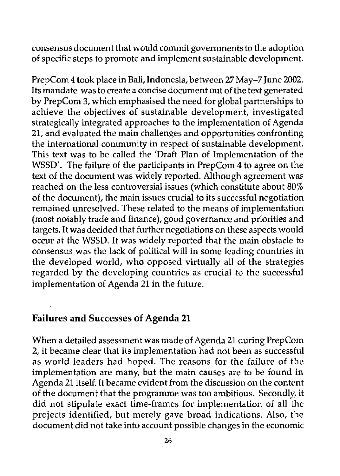consensus document that would commit governments to the adoption of specific steps to promote and implement sustainable development.

PrepCom 4 took place in Bali, Indonesia, between 27 May-7 June 2002. Its mandate was to create a concise document out of the text generated by PrepCom 3, which emphasised the need for global partnerships to achieve the objectives of sustainable development, investigated strategically integrated approaches to the implementation of Agenda 21, and evaluated the main challenges and opportunities confronting the international community in respect of sustainable development. This text was to be called the 'Draft Plan of Implementation of the WSSD'. The failure of the participants in PrepCom 4 to agree on the text of the document was widely reported. Although agreement was reached on the less controversial issues (which constitute about 80% of the document), the main issues crucial to its successful negotiation remained unresolved. These related to the means of implementation (most notably trade and finance), good governance and priorities and targets. It was decided that further negotiations on these aspects would occur at the WSSD. It was widely reported that the main obstacle to consensus was the lack of political will in some leading countries in the developed world, who opposed virtually all of the strategies regarded by the developing countries as crucial to the successful implementation of Agenda 21 in the future.

#### Failures and Successes of Agenda 21

When a detailed assessment was made of Agenda 21 during PrepCom 2, it became clear that its implementation had not been as successful as world leaders had hoped. The reasons for the failure of the implementation are many, but the main causes are to be found in Agenda 21 itself. It became evident from the discussion on the content of the document that the programme was too ambitious. Secondly, it did not stipulate exact time-frames for implementation of all the projects identified, but merely gave broad indications. Also, the document did not take into account possible changes in the economic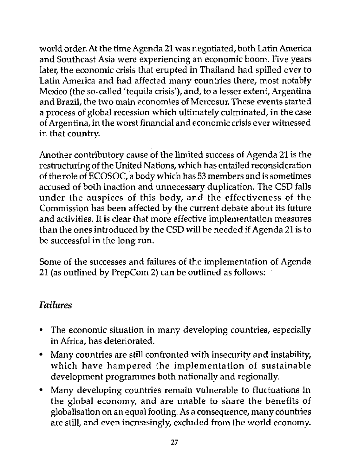world order. At the time Agenda 21 was negotiated, both Latin America and Southeast Asia were experiencing an economic boom. Five years later, the economic crisis that erupted in Thailand had spilled over to Latin America and had affected many countries there, most notably Mexico (the so-called 'tequila crisis'), and, to a lesser extent, Argentina and Brazil, the two main economies of Mercosur. These events started a process of global recession which ultimately culminated, in the case of Argentina, in the worst financial and economic crisis ever witnessed in that country.

Another contributory cause of the limited success of Agenda 21 is the restructuring of the United Nations, which has entailed reconsideration of the role of ECOSOC, a body which has 53 members and is sometimes accused of both inaction and unnecessary duplication. The CSD falls under the auspices of this body, and the effectiveness of the Commission has been affected by the current debate about its future and activities. It is clear that more effective implementation measures than the ones introduced by the CSD will be needed if Agenda 21 is to be successful in the long run.

Some of the successes and failures of the implementation of Agenda 21 (as outlined by PrepCom 2) can be outlined as follows:

#### *Failures*

- The economic situation in many developing countries, especially in Africa, has deteriorated.
- Many countries are still confronted with insecurity and instability, which have hampered the implementation of sustainable development programmes both nationally and regionally.
- Many developing countries remain vulnerable to fluctuations in the global economy, and are unable to share the benefits of globalisation on an equal footing. As a consequence, many countries are still, and even increasingly, excluded from the world economy.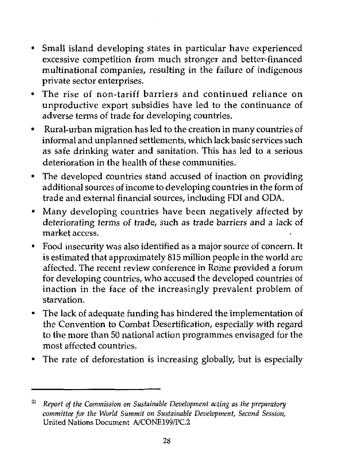- Small island developing states in particular have experienced excessive competition from much stronger and better-financed multinational companies, resulting in the failure of indigenous private sector enterprises.
- The rise of non-tariff barriers and continued reliance on unproductive export subsidies have led to the continuance of adverse terms of trade for developing countries.
- Rural-urban migration has led to the creation in many countries of informal and unplanned settlements, which lack basic services such as safe drinking water and sanitation. This has led to a serious deterioration in the health of these communities.
- The developed countries stand accused of inaction on providing additional sources of income to developing countries in the form of trade and external financial sources, including FDI and ODA.
- Many developing countries have been negatively affected by deteriorating terms of trade, such as trade barriers and a lack of market access.
- Food insecurity was also identified as a major source of concern. It is estimated that approximately 815 million people in the world are affected. The recent review conference in Rome provided a forum for developing countries, who accused the developed countries of inaction in the face of the increasingly prevalent problem of starvation.
- The lack of adequate funding has hindered the implementation of the Convention to Combat Desertification, especially with regard to the more than 50 national action programmes envisaged for the most affected countries.
- The rate of deforestation is increasing globally, but is especially

<sup>21</sup>  *Report of the Commission on Sustainable Development acting as the preparatory committee for the World Summit on Sustainable Development, Second Session,* United Nations Document A/CONF.199/PC.2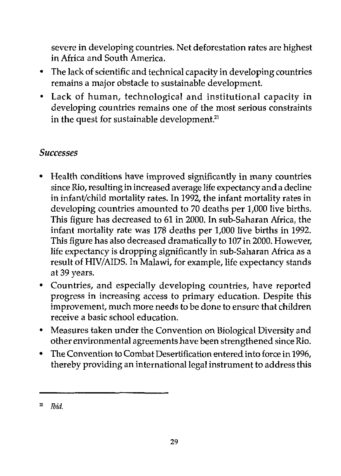severe in developing countries. Net deforestation rates are highest in Africa and South America.

- The lack of scientific and technical capacity in developing countries remains a major obstacle to sustainable development.
- Lack of human, technological and institutional capacity in developing countries remains one of the most serious constraints in the quest for sustainable development.<sup>21</sup>

#### *Successes*

- *•* Health conditions have improved significantly in many countries since Rio, resulting in increased average life expectancy and a decline in infant/child mortality rates. In 1992, the infant mortality rates in developing countries amounted to 70 deaths per 1/000 live births. This figure has decreased to 61 in 2000. In sub-Saharan Africa, the infant mortality rate was 178 deaths per 1,000 live births in 1992. This figure has also decreased dramatically to 107 in 2000. However, life expectancy is dropping significantly in sub-Saharan Africa as a result of HIV/AIDS. In Malawi, for example, life expectancy stands at 39 years.
- Countries, and especially developing countries, have reported progress in increasing access to primary education. Despite this improvement, much more needs to be done to ensure that children receive a basic school education.
- Measures taken under the Convention on Biological Diversity and other environmental agreements have been strengthened since Rio.
- The Convention to Combat Desertification entered into force in 1996, thereby providing an international legal instrument to address this

 $\mathbf{z}$ *Ibid.*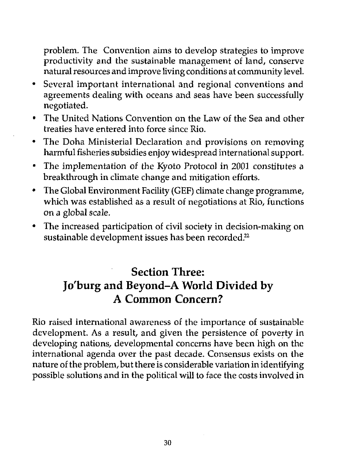problem. The Convention aims to develop strategies to improve productivity and the sustainable management of land, conserve natural resources and improve living conditions at community level.

- Several important international and regional conventions and agreements dealing with oceans and seas have been successfully negotiated.
- The United Nations Convention on the Law of the Sea and other treaties have entered into force since Rio.
- The Doha Ministerial Declaration and provisions on removing harmful fisheries subsidies enjoy widespread international support.
- The implementation of the Kyoto Protocol in 2001 constitutes a breakthrough in climate change and mitigation efforts.
- The Global Environment Facility (GEF) climate change programme, which was established as a result of negotiations at Rio, functions on a global scale.
- The increased participation of civil society in decision-making on sustainable development issues has been recorded.<sup>22</sup>

#### Section Three: Jo'burg and Beyond-A World Divided by A Common Concern?

Rio raised international awareness of the importance of sustainable development. As a result, and given the persistence of poverty in developing nations, developmental concerns have been high on the international agenda over the past decade. Consensus exists on the nature of the problem, but there is considerable variation in identifying possible solutions and in the political will to face the costs involved in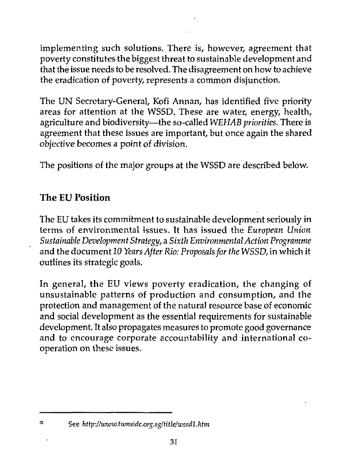implementing such solutions. There is, however, agreement that poverty constitutes the biggest threat to sustainable development and that the issue needs to be resolved. The disagreement on how to achieve the eradication of poverty, represents a common disjunction.

The UN Secretary-General, Kofi Annan, has identified five priority areas for attention at the WSSD. These are water, energy, health, agriculture and biodiversity—the so-called *WEHAB priorities.* There is agreement that these issues are important, but once again the shared objective becomes a point of division.

The positions of the major groups at the WSSD are described below.

#### **The EU Position**

The EU takes its commitment to sustainable development seriously in terms of environmental issues. It has issued the *European Union Sustainable Development Strategy,* a *Sixth Environmental Action Programme* and the document *10 Years After Rio: Proposals for the WSSD,* in which it outlines its strategic goals.

In general, the EU views poverty eradication, the changing of unsustainable patterns of production and consumption, and the protection and management of the natural resource base of economic and social development as the essential requirements for sustainable development. It also propagates measures to promote good governance and to encourage corporate accountability and international cooperation on these issues.

See *http://www.iwnside.org.sg/title/wssdl.htm*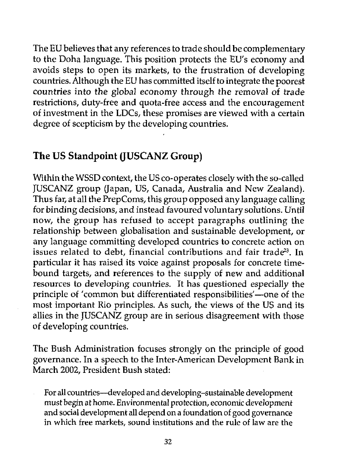The EU believes that any references to trade should be complementary to the Doha language. This position protects the EU's economy and avoids steps to open its markets, to the frustration of developing countries. Although the EU has committed itself to integrate the poorest countries into the global economy through the removal *of* trade restrictions, duty-free and quota-free access and the encouragement of investment in the LDCs, these promises are viewed with a certain degree of scepticism by the developing countries.

#### **The US Standpoint (JUSCANZ Group)**

Within the WSSD context, the US co-operates closely with the so-called JUSCANZ group (Japan, US, Canada, Australia and New Zealand). Thus far, at all the PrepComs, this group opposed any language calling for binding decisions, and instead favoured voluntary solutions. Until now, the group has refused to accept paragraphs outlining the relationship between globalisation and sustainable development, or any language committing developed countries to concrete action on issues related to debt, financial contributions and fair trade<sup>23</sup>. In particular it has raised its voice against proposals for concrete timebound targets, and references to the supply of new and additional resources to developing countries. It has questioned especially the principle of 'common but differentiated responsibilities'—one of the most important Rio principles. As such, the views of the US and its allies in the JUSCANZ group are in serious disagreement with those of developing countries.

The Bush Administration focuses strongly on the principle of good governance. In a speech to the Inter-American Development Bank in March 2002, President Bush stated:

For all countries—developed and developing-sustainable development must begin at home. Environmental protection, economic development and social development all depend on a foundation of good governance in which free markets, sound institutions and the rule of law are the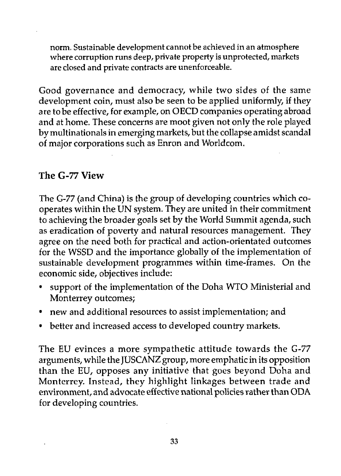norm. Sustainable development cannot be achieved in an atmosphere where corruption runs deep, private property is unprotected, markets are closed and private contracts are unenforceable.

Good governance and democracy, while two sides of the same development coin, must also be seen to be applied uniformly, if they are to be effective, for example, on OECD companies operating abroad and at home. These concerns are moot given not only the role played by multinationals in emerging markets, but the collapse amidst scandal of major corporations such as Enron and Worldcom.

#### **The G-77 View**

The G-77 (and China) is the group of developing countries which cooperates within the UN system. They are united in their commitment to achieving the broader goals set by the World Summit agenda, such as eradication of poverty and natural resources management. They agree on the need both for practical and action-orientated outcomes for the WSSD and the importance globally of the implementation of sustainable development programmes within time-frames. On the economic side, objectives include:

- support of the implementation of the Doha WTO Ministerial and Monterrey outcomes;
- new and additional resources to assist implementation; and
- better and increased access to developed country markets.

The EU evinces a more sympathetic attitude towards the G-77 arguments, while the JUSCANZ group, more emphatic in its opposition than the EU, opposes any initiative that goes beyond Doha and Monterrey. Instead, they highlight linkages between trade and environment, and advocate effective national policies rather than ODA for developing countries.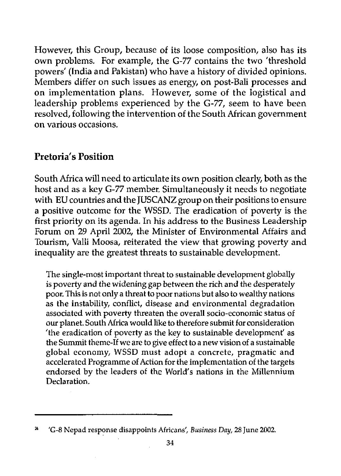However, this Group, because of its loose composition, also has its own problems. For example, the G-77 contains the two 'threshold powers' (India and Pakistan) who have a history of divided opinions. Members differ on such issues as energy, on post-Bali processes and on implementation plans. However, some of the logistical and leadership problems experienced by the G-77, seem to have been resolved, following the intervention of the South African government on various occasions.

#### **Pretoria's Position**

South Africa will need to articulate its own position clearly, both as the host and as a key G-77 member. Simultaneously it needs to negotiate with EU countries and the JUSCANZ group on their positions to ensure a positive outcome for the WSSD. The eradication of poverty is the first priority on its agenda. In his address to the Business Leadership Forum on 29 April 2002, the Minister of Environmental Affairs and Tourism, Valli Moosa, reiterated the view that growing poverty and inequality are the greatest threats to sustainable development.

The single-most important threat to sustainable development globally is poverty and the widening gap between the rich and the desperately poor. This is not only a threat to poor nations but also to wealthy nations as the instability, conflict, disease and environmental degradation associated with poverty threaten the overall socio-economic status of our planet. South Africa would like to therefore submit for consideration 'the eradication of poverty as the key to sustainable development' as the Summit theme-If we are to give effect to a new vision of a sustainable global economy, WSSD must adopt a concrete, pragmatic and accelerated Programme of Action for the implementation of the targets endorsed by the leaders of the World's nations in the Millennium Declaration.

<sup>&#</sup>x27;G-8 Nepad response disappoints Africans', *Business Day,* 28 June 2002.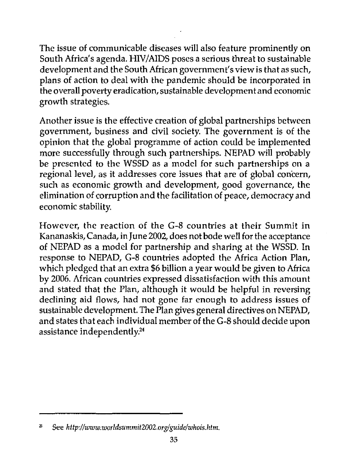The issue of communicable diseases will also feature prominently on South Africa's agenda. HIV/AIDS poses a serious threat to sustainable development and the South African government's view is that as such, plans of action to deal with the pandemic should be incorporated in the overall poverty eradication, sustainable development and economic growth strategies.

Another issue is the effective creation of global partnerships between government, business and civil society. The government is of the opinion that the global programme of action could be implemented more successfully through such partnerships. NEPAD will probably be presented to the WSSD as a model for such partnerships on a regional level, as it addresses core issues that are of global concern, such as economic growth and development, good governance, the elimination of corruption and the facilitation of peace, democracy and economic stability.

However, the reaction of the G-8 countries at their Summit in Kananaskis, Canada, in June 2002, does not bode well for the acceptance of NEPAD as a model for partnership and sharing at the WSSD. In response to NEPAD, G-8 countries adopted the Africa Action Plan, which pledged that an extra \$6 billion a year would be given to Africa by 2006. African countries expressed dissatisfaction with this amount and stated that the Plan, although it would be helpful in reversing declining aid flows, had not gone far enough to address issues of sustainable development. The Plan gives general directives on NEPAD, and states that each individual member of the G-8 should decide upon assistance independently.<sup>24</sup>

See http://www.worldsummit2002.org/guide/whois.htm. 25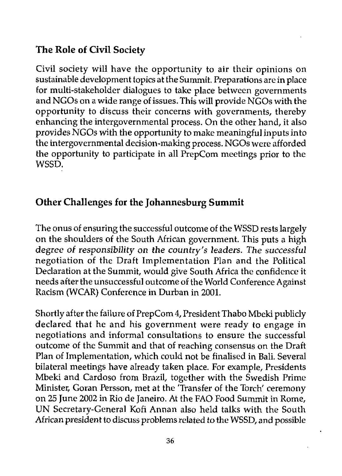#### **The Role of Civil Society**

Civil society will have the opportunity to air their opinions on sustainable development topics at the Summit. Preparations are in place for multi-stakeholder dialogues to take place between governments and NGOs on a wide range of issues. This will provide NGOs with the opportunity to discuss their concerns with governments, thereby enhancing the intergovernmental process. On the other hand, it also provides NGOs with the opportunity to make meaningful inputs into the intergovernmental decision-making process. NGOs were afforded the opportunity to participate in all PrepCom meetings prior to the WSSD.

#### Other Challenges for the Johannesburg Summit

The onus of ensuring the successful outcome of the WSSD rests largely on the shoulders of the South African government. This puts a high degree of responsibility on the country's leaders. The successful negotiation of the Draft Implementation Plan and the Political Declaration at the Summit, would give South Africa the confidence it needs after the unsuccessful outcome of the World Conference Against Racism (WCAR) Conference in Durban in 2001.

Shortly after the failure of PrepCom 4, President Thabo Mbeki publicly declared that he and his government were ready to engage in negotiations and informal consultations to ensure the successful outcome of the Summit and that of reaching consensus on the Draft Plan of Implementation, which could not be finalised in Bali. Several bilateral meetings have already taken place. For example, Presidents Mbeki and Cardoso from Brazil, together with the Swedish Prime Minister, Goran Persson, met at the 'Transfer of the Torch' ceremony on 25 June 2002 in Rio de Janeiro. At the FAO Food Summit in Rome, UN Secretary-General Kofi Annan also held talks with the South African president to discuss problems related to the WSSD, and possible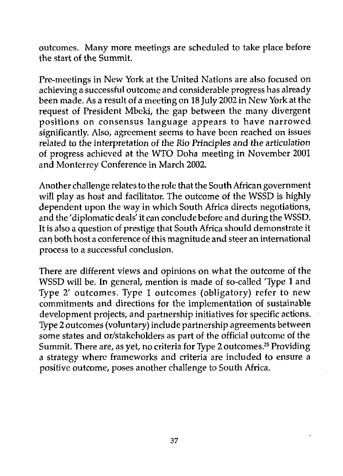outcomes. Many more meetings are scheduled to take place before the start of the Summit.

Pre-meetings in New York at the United Nations are also focused on achieving a successful outcome and considerable progress has already been made. As a result of a meeting on 18 July 2002 in New York at the request of President Mbeki, the gap between the many divergent positions on consensus language appears to have narrowed significantly. Also, agreement seems to have been reached on issues related to the interpretation of the Rio Principles and the articulation of progress achieved at the WTO Doha meeting in November 2001 and Monterrey Conference in March 2002.

Another challenge relates to the role that the South African government will play as host and facilitator. The outcome of the WSSD is highly dependent upon the way in which South Africa directs negotiations, and the 'diplomatic deals' it can conclude before and during the WSSD. It is also a question of prestige that South Africa should demonstrate it can both host a conference of this magnitude and steer an international process to a successful conclusion.

There are different views and opinions on what the outcome of the WSSD will be. In general, mention is made of so-called 'Type 1 and Type 2' outcomes. Type 1 outcomes (obligatory) refer to new commitments and directions for the implementation of sustainable development projects, and partnership initiatives for specific actions. Type 2 outcomes (voluntary) include partnership agreements between some states and or/stakeholders as part of the official outcome of the Summit. There are, as yet, no criteria for Type 2 outcomes.<sup>25</sup> Providing a strategy where frameworks and criteria are included to ensure a positive outcome, poses another challenge to South Africa.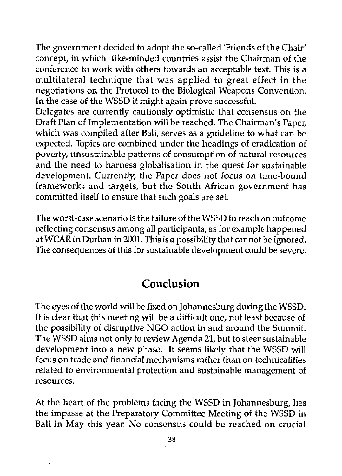The government decided to adopt the so-called 'Friends of the Chair' concept, in which like-minded countries assist the Chairman of the conference to work with others towards an acceptable text. This is a multilateral technique that was applied to great effect in the negotiations on the Protocol to the Biological Weapons Convention. In the case of the WSSD it might again prove successful.

Delegates are currently cautiously optimistic that consensus on the Draft Plan of Implementation will be reached. The Chairman's Paper, which was compiled after Bali, serves as a guideline to what can be expected. Topics are combined under the headings of eradication of poverty, unsustainable patterns of consumption of natural resources and the need to harness globalisation in the quest for sustainable development. Currently, the Paper does not focus on time-bound frameworks and targets, but the South African government has committed itself to ensure that such goals are set.

The worst-case scenario is the failure of the WSSD to reach an outcome reflecting consensus among all participants, as for example happened at WCAR in Durban in 2001. This is a possibility that cannot be ignored. The consequences of this for sustainable development could be severe.

#### Conclusion

The eyes of the world will be fixed on Johannesburg during the WSSD. It is clear that this meeting will be a difficult one, not least because of the possibility of disruptive NGO action in and around the Summit. The WSSD aims not only to review Agenda 21, but to steer sustainable development into a new phase. It seems likely that the WSSD will focus on trade and financial mechanisms rather than on technicalities related to environmental protection and sustainable management of resources.

At the heart of the problems facing the WSSD in Johannesburg, lies the impasse at the Preparatory Committee Meeting of the WSSD in Bali in May this year. No consensus could be reached on crucial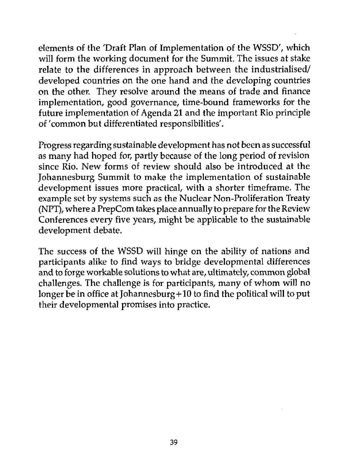elements of the 'Draft Plan of Implementation of the WSSD', which will form the working document for the Summit. The issues at stake relate to the differences in approach between the industrialised/ developed countries on the one hand and the developing countries on the other. They resolve around the means of trade and finance implementation, good governance, time-bound frameworks for the future implementation of Agenda 21 and the important Rio principle of 'common but differentiated responsibilities'.

Progress regarding sustainable development has not been as successful as many had hoped for, partly because of the long period of revision since Rio. New forms of review should also be introduced at the Johannesburg Summit to make the implementation of sustainable development issues more practical, with a shorter timeframe. The example set by systems such as the Nuclear Non-Proliferation Treaty (NPT), where a PrepCom takes place annually to prepare for the Review Conferences every five years, might be applicable to the sustainable development debate.

The success of the WSSD will hinge on the ability of nations and participants alike to find ways to bridge developmental differences and to forge workable solutions to what are, ultimately, common global challenges. The challenge is for participants, many of whom will no longer be in office at Johannesburg  $+ 10$  to find the political will to put their developmental promises into practice.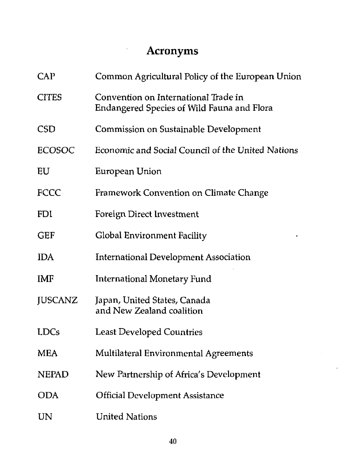### Acronyms

 $\hat{\boldsymbol{\epsilon}}$ 

| <b>CAP</b>     | Common Agricultural Policy of the European Union                                   |
|----------------|------------------------------------------------------------------------------------|
| <b>CITES</b>   | Convention on International Trade in<br>Endangered Species of Wild Fauna and Flora |
| <b>CSD</b>     | Commission on Sustainable Development                                              |
| <b>ECOSOC</b>  | Economic and Social Council of the United Nations                                  |
| EU             | European Union                                                                     |
| FCCC           | Framework Convention on Climate Change                                             |
| <b>FDI</b>     | Foreign Direct Investment                                                          |
| <b>GEF</b>     | Global Environment Facility                                                        |
| <b>IDA</b>     | <b>International Development Association</b>                                       |
| IMF            | <b>International Monetary Fund</b>                                                 |
| <b>JUSCANZ</b> | Japan, United States, Canada<br>and New Zealand coalition                          |
| <b>LDCs</b>    | <b>Least Developed Countries</b>                                                   |
| <b>MEA</b>     | Multilateral Environmental Agreements                                              |
| <b>NEPAD</b>   | New Partnership of Africa's Development                                            |
| <b>ODA</b>     | <b>Official Development Assistance</b>                                             |
| UN             | <b>United Nations</b>                                                              |

l,